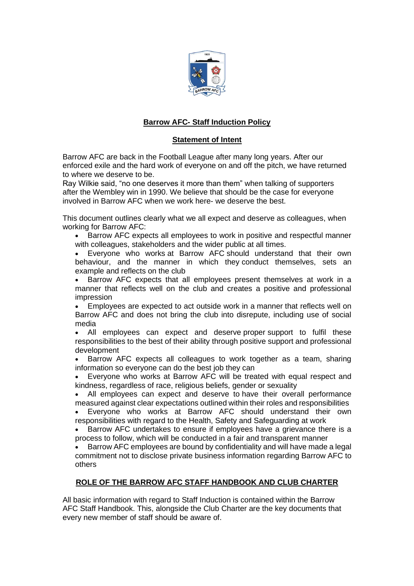

# **Barrow AFC- Staff Induction Policy**

# **Statement of Intent**

Barrow AFC are back in the Football League after many long years. After our enforced exile and the hard work of everyone on and off the pitch, we have returned to where we deserve to be.

Ray Wilkie said, "no one deserves it more than them" when talking of supporters after the Wembley win in 1990. We believe that should be the case for everyone involved in Barrow AFC when we work here- we deserve the best.

This document outlines clearly what we all expect and deserve as colleagues, when working for Barrow AFC:

• Barrow AFC expects all employees to work in positive and respectful manner with colleagues, stakeholders and the wider public at all times.

• Everyone who works at Barrow AFC should understand that their own behaviour, and the manner in which they conduct themselves, sets an example and reflects on the club

• Barrow AFC expects that all employees present themselves at work in a manner that reflects well on the club and creates a positive and professional impression

• Employees are expected to act outside work in a manner that reflects well on Barrow AFC and does not bring the club into disrepute, including use of social media

• All employees can expect and deserve proper support to fulfil these responsibilities to the best of their ability through positive support and professional development

• Barrow AFC expects all colleagues to work together as a team, sharing information so everyone can do the best job they can

• Everyone who works at Barrow AFC will be treated with equal respect and kindness, regardless of race, religious beliefs, gender or sexuality

• All employees can expect and deserve to have their overall performance measured against clear expectations outlined within their roles and responsibilities

• Everyone who works at Barrow AFC should understand their own responsibilities with regard to the Health, Safety and Safeguarding at work

• Barrow AFC undertakes to ensure if employees have a grievance there is a process to follow, which will be conducted in a fair and transparent manner

• Barrow AFC employees are bound by confidentiality and will have made a legal commitment not to disclose private business information regarding Barrow AFC to others

#### **ROLE OF THE BARROW AFC STAFF HANDBOOK AND CLUB CHARTER**

All basic information with regard to Staff Induction is contained within the Barrow AFC Staff Handbook. This, alongside the Club Charter are the key documents that every new member of staff should be aware of.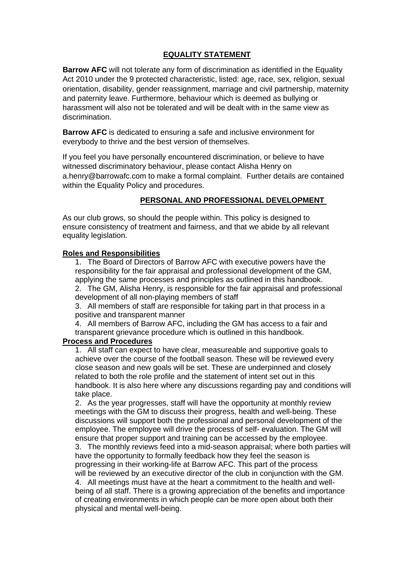## **EQUALITY STATEMENT**

**Barrow AFC** will not tolerate any form of discrimination as identified in the Equality Act 2010 under the 9 protected characteristic, listed: age, race, sex, religion, sexual orientation, disability, gender reassignment, marriage and civil partnership, maternity and paternity leave. Furthermore, behaviour which is deemed as bullying or harassment will also not be tolerated and will be dealt with in the same view as discrimination.

**Barrow AFC** is dedicated to ensuring a safe and inclusive environment for everybody to thrive and the best version of themselves.

If you feel you have personally encountered discrimination, or believe to have witnessed discriminatory behaviour, please contact Alisha Henry on a.henry@barrowafc.com to make a formal complaint. Further details are contained within the Equality Policy and procedures.

## **PERSONAL AND PROFESSIONAL DEVELOPMENT**

As our club grows, so should the people within. This policy is designed to ensure consistency of treatment and fairness, and that we abide by all relevant equality legislation.

#### **Roles and Responsibilities**

1. The Board of Directors of Barrow AFC with executive powers have the responsibility for the fair appraisal and professional development of the GM, applying the same processes and principles as outlined in this handbook. 2. The GM, Alisha Henry, is responsible for the fair appraisal and professional

development of all non-playing members of staff

3. All members of staff are responsible for taking part in that process in a positive and transparent manner

4. All members of Barrow AFC, including the GM has access to a fair and transparent grievance procedure which is outlined in this handbook.

#### **Process and Procedures**

1. All staff can expect to have clear, measureable and supportive goals to achieve over the course of the football season. These will be reviewed every close season and new goals will be set. These are underpinned and closely related to both the role profile and the statement of intent set out in this handbook. It is also here where any discussions regarding pay and conditions will take place.

2. As the year progresses, staff will have the opportunity at monthly review meetings with the GM to discuss their progress, health and well-being. These discussions will support both the professional and personal development of the employee. The employee will drive the process of self- evaluation. The GM will ensure that proper support and training can be accessed by the employee.

3. The monthly reviews feed into a mid-season appraisal; where both parties will have the opportunity to formally feedback how they feel the season is progressing in their working-life at Barrow AFC. This part of the process will be reviewed by an executive director of the club in conjunction with the GM.

4. All meetings must have at the heart a commitment to the health and wellbeing of all staff. There is a growing appreciation of the benefits and importance of creating environments in which people can be more open about both their physical and mental well-being.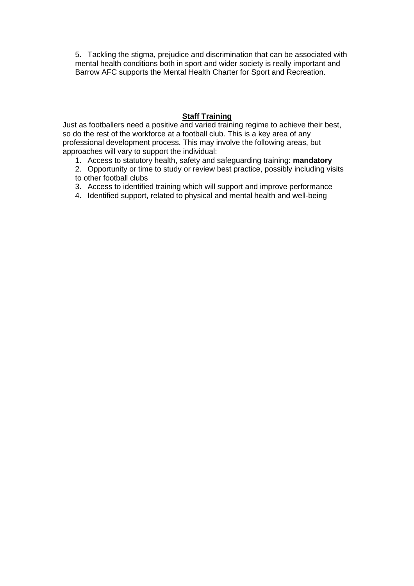5. Tackling the stigma, prejudice and discrimination that can be associated with mental health conditions both in sport and wider society is really important and Barrow AFC supports the Mental Health Charter for Sport and Recreation.

### **Staff Training**

Just as footballers need a positive and varied training regime to achieve their best, so do the rest of the workforce at a football club. This is a key area of any professional development process. This may involve the following areas, but approaches will vary to support the individual:

- 1. Access to statutory health, safety and safeguarding training: **mandatory**
- 2. Opportunity or time to study or review best practice, possibly including visits to other football clubs
- 3. Access to identified training which will support and improve performance
- 4. Identified support, related to physical and mental health and well-being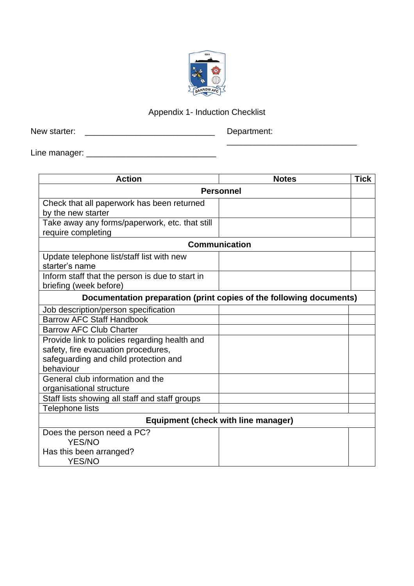

# Appendix 1- Induction Checklist

New starter: \_\_\_\_\_\_\_\_\_\_\_\_\_\_\_\_\_\_\_\_\_\_\_\_\_\_\_\_ Department:

\_\_\_\_\_\_\_\_\_\_\_\_\_\_\_\_\_\_\_\_\_\_\_\_\_\_\_\_

Line manager: \_\_\_\_\_\_\_\_\_\_\_\_\_\_\_\_\_\_\_\_\_\_\_\_\_\_\_\_

| <b>Action</b>                                                       | <b>Notes</b> | <b>Tick</b> |
|---------------------------------------------------------------------|--------------|-------------|
| Personnel                                                           |              |             |
| Check that all paperwork has been returned                          |              |             |
| by the new starter                                                  |              |             |
| Take away any forms/paperwork, etc. that still                      |              |             |
| require completing                                                  |              |             |
| <b>Communication</b>                                                |              |             |
| Update telephone list/staff list with new                           |              |             |
| starter's name                                                      |              |             |
| Inform staff that the person is due to start in                     |              |             |
| briefing (week before)                                              |              |             |
| Documentation preparation (print copies of the following documents) |              |             |
| Job description/person specification                                |              |             |
| <b>Barrow AFC Staff Handbook</b>                                    |              |             |
| <b>Barrow AFC Club Charter</b>                                      |              |             |
| Provide link to policies regarding health and                       |              |             |
| safety, fire evacuation procedures,                                 |              |             |
| safeguarding and child protection and                               |              |             |
| behaviour                                                           |              |             |
| General club information and the                                    |              |             |
| organisational structure                                            |              |             |
| Staff lists showing all staff and staff groups                      |              |             |
| Telephone lists                                                     |              |             |
| <b>Equipment (check with line manager)</b>                          |              |             |
| Does the person need a PC?                                          |              |             |
| <b>YES/NO</b>                                                       |              |             |
| Has this been arranged?                                             |              |             |
| <b>YES/NO</b>                                                       |              |             |